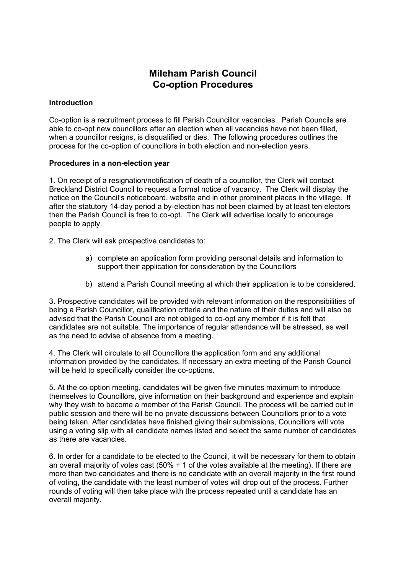# **Mileham Parish Council Co-option Procedures**

### **Introduction**

Co-option is a recruitment process to fill Parish Councillor vacancies. Parish Councils are able to co-opt new councillors after an election when all vacancies have not been filled, when a councillor resigns, is disqualified or dies. The following procedures outlines the process for the co-option of councillors in both election and non-election years.

### **Procedures in a non-election year**

1. On receipt of a resignation/notification of death of a councillor, the Clerk will contact Breckland District Council to request a formal notice of vacancy. The Clerk will display the notice on the Council's noticeboard, website and in other prominent places in the village. If after the statutory 14-day period a by-election has not been claimed by at least ten electors then the Parish Council is free to co-opt. The Clerk will advertise locally to encourage people to apply.

2. The Clerk will ask prospective candidates to:

- a) complete an application form providing personal details and information to support their application for consideration by the Councillors
- b) attend a Parish Council meeting at which their application is to be considered.

3. Prospective candidates will be provided with relevant information on the responsibilities of being a Parish Councillor, qualification criteria and the nature of their duties and will also be advised that the Parish Council are not obliged to co-opt any member if it is felt that candidates are not suitable. The importance of regular attendance will be stressed, as well as the need to advise of absence from a meeting.

4. The Clerk will circulate to all Councillors the application form and any additional information provided by the candidates. If necessary an extra meeting of the Parish Council will be held to specifically consider the co-options.

5. At the co-option meeting, candidates will be given five minutes maximum to introduce themselves to Councillors, give information on their background and experience and explain why they wish to become a member of the Parish Council. The process will be carried out in public session and there will be no private discussions between Councillors prior to a vote being taken. After candidates have finished giving their submissions, Councillors will vote using a voting slip with all candidate names listed and select the same number of candidates as there are vacancies.

6. In order for a candidate to be elected to the Council, it will be necessary for them to obtain an overall majority of votes cast (50% + 1 of the votes available at the meeting). If there are more than two candidates and there is no candidate with an overall majority in the first round of voting, the candidate with the least number of votes will drop out of the process. Further rounds of voting will then take place with the process repeated until a candidate has an overall majority.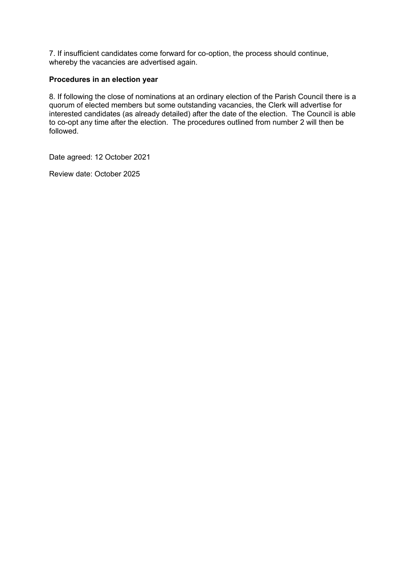7. If insufficient candidates come forward for co-option, the process should continue, whereby the vacancies are advertised again.

#### **Procedures in an election year**

8. If following the close of nominations at an ordinary election of the Parish Council there is a quorum of elected members but some outstanding vacancies, the Clerk will advertise for interested candidates (as already detailed) after the date of the election. The Council is able to co-opt any time after the election. The procedures outlined from number 2 will then be followed.

Date agreed: 12 October 2021

Review date: October 2025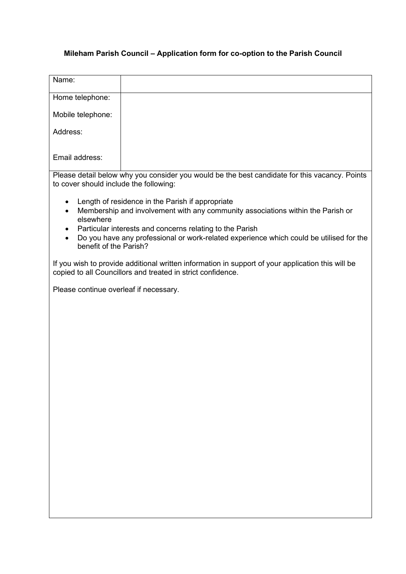## **Mileham Parish Council – Application form for co-option to the Parish Council**

| Name:                                                                                                                                                                      |                                                                                                                                                     |
|----------------------------------------------------------------------------------------------------------------------------------------------------------------------------|-----------------------------------------------------------------------------------------------------------------------------------------------------|
| Home telephone:                                                                                                                                                            |                                                                                                                                                     |
| Mobile telephone:                                                                                                                                                          |                                                                                                                                                     |
| Address:                                                                                                                                                                   |                                                                                                                                                     |
| Email address:                                                                                                                                                             |                                                                                                                                                     |
| Please detail below why you consider you would be the best candidate for this vacancy. Points<br>to cover should include the following:                                    |                                                                                                                                                     |
| Length of residence in the Parish if appropriate<br>$\bullet$<br>Membership and involvement with any community associations within the Parish or<br>$\bullet$<br>elsewhere |                                                                                                                                                     |
| $\bullet$<br>benefit of the Parish?                                                                                                                                        | Particular interests and concerns relating to the Parish<br>Do you have any professional or work-related experience which could be utilised for the |
| If you wish to provide additional written information in support of your application this will be<br>copied to all Councillors and treated in strict confidence.           |                                                                                                                                                     |
| Please continue overleaf if necessary.                                                                                                                                     |                                                                                                                                                     |
|                                                                                                                                                                            |                                                                                                                                                     |
|                                                                                                                                                                            |                                                                                                                                                     |
|                                                                                                                                                                            |                                                                                                                                                     |
|                                                                                                                                                                            |                                                                                                                                                     |
|                                                                                                                                                                            |                                                                                                                                                     |
|                                                                                                                                                                            |                                                                                                                                                     |
|                                                                                                                                                                            |                                                                                                                                                     |
|                                                                                                                                                                            |                                                                                                                                                     |
|                                                                                                                                                                            |                                                                                                                                                     |
|                                                                                                                                                                            |                                                                                                                                                     |
|                                                                                                                                                                            |                                                                                                                                                     |
|                                                                                                                                                                            |                                                                                                                                                     |
|                                                                                                                                                                            |                                                                                                                                                     |
|                                                                                                                                                                            |                                                                                                                                                     |